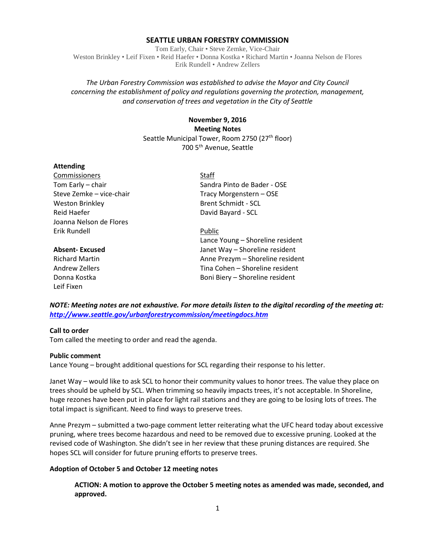### **SEATTLE URBAN FORESTRY COMMISSION**

Tom Early, Chair • Steve Zemke, Vice-Chair Weston Brinkley • Leif Fixen • Reid Haefer • Donna Kostka • Richard Martin • Joanna Nelson de Flores Erik Rundell • Andrew Zellers

## *The Urban Forestry Commission was established to advise the Mayor and City Council concerning the establishment of policy and regulations governing the protection, management, and conservation of trees and vegetation in the City of Seattle*

# **November 9, 2016 Meeting Notes** Seattle Municipal Tower, Room 2750 (27<sup>th</sup> floor) 700 5th Avenue, Seattle

#### **Attending**

Commissioners Staff Weston Brinkley **Brent Schmidt** - SCL Reid Haefer **David Bayard - SCL** Joanna Nelson de Flores Erik Rundell Public

Leif Fixen

Tom Early – chair Sandra Pinto de Bader - OSE Steve Zemke – vice-chair Tracy Morgenstern – OSE

Lance Young – Shoreline resident **Absent- Excused** Janet Way – Shoreline resident Richard Martin Anne Prezym – Shoreline resident Andrew Zellers Tina Cohen – Shoreline resident Donna Kostka **Boni Biery – Shoreline resident** 

*NOTE: Meeting notes are not exhaustive. For more details listen to the digital recording of the meeting at: <http://www.seattle.gov/urbanforestrycommission/meetingdocs.htm>*

## **Call to order**

Tom called the meeting to order and read the agenda.

#### **Public comment**

Lance Young – brought additional questions for SCL regarding their response to his letter.

Janet Way – would like to ask SCL to honor their community values to honor trees. The value they place on trees should be upheld by SCL. When trimming so heavily impacts trees, it's not acceptable. In Shoreline, huge rezones have been put in place for light rail stations and they are going to be losing lots of trees. The total impact is significant. Need to find ways to preserve trees.

Anne Prezym – submitted a two-page comment letter reiterating what the UFC heard today about excessive pruning, where trees become hazardous and need to be removed due to excessive pruning. Looked at the revised code of Washington. She didn't see in her review that these pruning distances are required. She hopes SCL will consider for future pruning efforts to preserve trees.

## **Adoption of October 5 and October 12 meeting notes**

**ACTION: A motion to approve the October 5 meeting notes as amended was made, seconded, and approved.**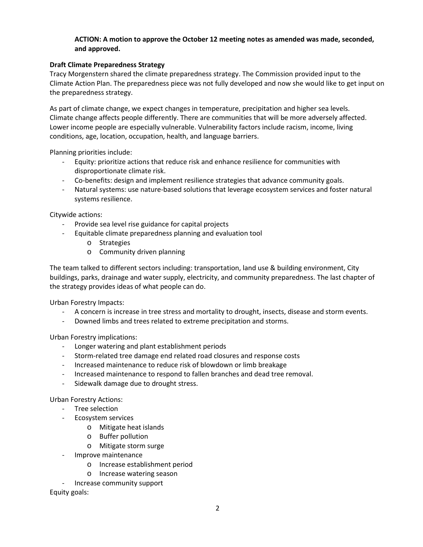## **ACTION: A motion to approve the October 12 meeting notes as amended was made, seconded, and approved.**

## **Draft Climate Preparedness Strategy**

Tracy Morgenstern shared the climate preparedness strategy. The Commission provided input to the Climate Action Plan. The preparedness piece was not fully developed and now she would like to get input on the preparedness strategy.

As part of climate change, we expect changes in temperature, precipitation and higher sea levels. Climate change affects people differently. There are communities that will be more adversely affected. Lower income people are especially vulnerable. Vulnerability factors include racism, income, living conditions, age, location, occupation, health, and language barriers.

Planning priorities include:

- Equity: prioritize actions that reduce risk and enhance resilience for communities with disproportionate climate risk.
- Co-benefits: design and implement resilience strategies that advance community goals.
- Natural systems: use nature-based solutions that leverage ecosystem services and foster natural systems resilience.

Citywide actions:

- Provide sea level rise guidance for capital projects
- Equitable climate preparedness planning and evaluation tool
	- o Strategies
	- o Community driven planning

The team talked to different sectors including: transportation, land use & building environment, City buildings, parks, drainage and water supply, electricity, and community preparedness. The last chapter of the strategy provides ideas of what people can do.

Urban Forestry Impacts:

- A concern is increase in tree stress and mortality to drought, insects, disease and storm events.
- Downed limbs and trees related to extreme precipitation and storms.

Urban Forestry implications:

- Longer watering and plant establishment periods
- Storm-related tree damage end related road closures and response costs
- Increased maintenance to reduce risk of blowdown or limb breakage
- Increased maintenance to respond to fallen branches and dead tree removal.
- Sidewalk damage due to drought stress.

Urban Forestry Actions:

- Tree selection
- Ecosystem services
	- o Mitigate heat islands
	- o Buffer pollution
	- o Mitigate storm surge
- Improve maintenance
	- o Increase establishment period
	- o Increase watering season
	- Increase community support

Equity goals: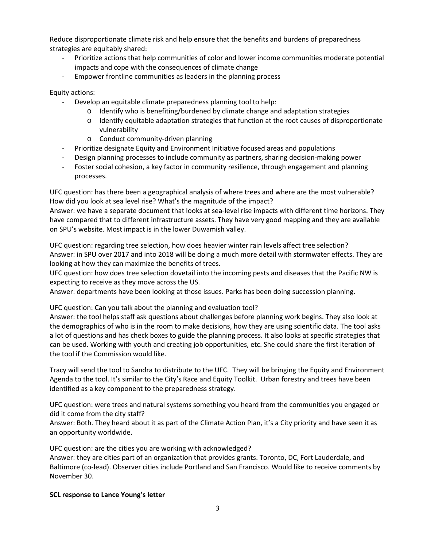Reduce disproportionate climate risk and help ensure that the benefits and burdens of preparedness strategies are equitably shared:

- Prioritize actions that help communities of color and lower income communities moderate potential impacts and cope with the consequences of climate change
- Empower frontline communities as leaders in the planning process

Equity actions:

- Develop an equitable climate preparedness planning tool to help:
	- o Identify who is benefiting/burdened by climate change and adaptation strategies
	- $\circ$  Identify equitable adaptation strategies that function at the root causes of disproportionate vulnerability
	- o Conduct community-driven planning
- Prioritize designate Equity and Environment Initiative focused areas and populations
- Design planning processes to include community as partners, sharing decision-making power
- Foster social cohesion, a key factor in community resilience, through engagement and planning processes.

UFC question: has there been a geographical analysis of where trees and where are the most vulnerable? How did you look at sea level rise? What's the magnitude of the impact?

Answer: we have a separate document that looks at sea-level rise impacts with different time horizons. They have compared that to different infrastructure assets. They have very good mapping and they are available on SPU's website. Most impact is in the lower Duwamish valley.

UFC question: regarding tree selection, how does heavier winter rain levels affect tree selection? Answer: in SPU over 2017 and into 2018 will be doing a much more detail with stormwater effects. They are looking at how they can maximize the benefits of trees.

UFC question: how does tree selection dovetail into the incoming pests and diseases that the Pacific NW is expecting to receive as they move across the US.

Answer: departments have been looking at those issues. Parks has been doing succession planning.

UFC question: Can you talk about the planning and evaluation tool?

Answer: the tool helps staff ask questions about challenges before planning work begins. They also look at the demographics of who is in the room to make decisions, how they are using scientific data. The tool asks a lot of questions and has check boxes to guide the planning process. It also looks at specific strategies that can be used. Working with youth and creating job opportunities, etc. She could share the first iteration of the tool if the Commission would like.

Tracy will send the tool to Sandra to distribute to the UFC. They will be bringing the Equity and Environment Agenda to the tool. It's similar to the City's Race and Equity Toolkit. Urban forestry and trees have been identified as a key component to the preparedness strategy.

UFC question: were trees and natural systems something you heard from the communities you engaged or did it come from the city staff?

Answer: Both. They heard about it as part of the Climate Action Plan, it's a City priority and have seen it as an opportunity worldwide.

UFC question: are the cities you are working with acknowledged?

Answer: they are cities part of an organization that provides grants. Toronto, DC, Fort Lauderdale, and Baltimore (co-lead). Observer cities include Portland and San Francisco. Would like to receive comments by November 30.

## **SCL response to Lance Young's letter**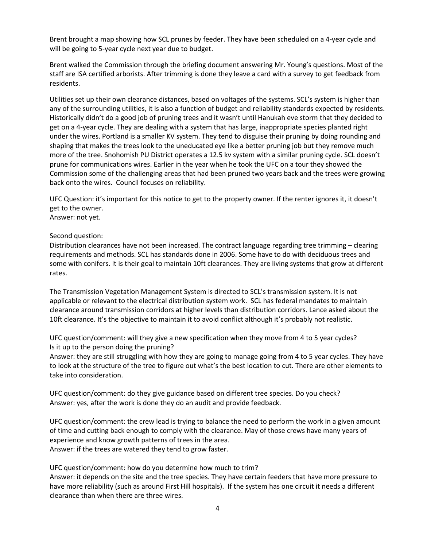Brent brought a map showing how SCL prunes by feeder. They have been scheduled on a 4-year cycle and will be going to 5-year cycle next year due to budget.

Brent walked the Commission through the briefing document answering Mr. Young's questions. Most of the staff are ISA certified arborists. After trimming is done they leave a card with a survey to get feedback from residents.

Utilities set up their own clearance distances, based on voltages of the systems. SCL's system is higher than any of the surrounding utilities, it is also a function of budget and reliability standards expected by residents. Historically didn't do a good job of pruning trees and it wasn't until Hanukah eve storm that they decided to get on a 4-year cycle. They are dealing with a system that has large, inappropriate species planted right under the wires. Portland is a smaller KV system. They tend to disguise their pruning by doing rounding and shaping that makes the trees look to the uneducated eye like a better pruning job but they remove much more of the tree. Snohomish PU District operates a 12.5 kv system with a similar pruning cycle. SCL doesn't prune for communications wires. Earlier in the year when he took the UFC on a tour they showed the Commission some of the challenging areas that had been pruned two years back and the trees were growing back onto the wires. Council focuses on reliability.

UFC Question: it's important for this notice to get to the property owner. If the renter ignores it, it doesn't get to the owner. Answer: not yet.

Second question:

Distribution clearances have not been increased. The contract language regarding tree trimming – clearing requirements and methods. SCL has standards done in 2006. Some have to do with deciduous trees and some with conifers. It is their goal to maintain 10ft clearances. They are living systems that grow at different rates.

The Transmission Vegetation Management System is directed to SCL's transmission system. It is not applicable or relevant to the electrical distribution system work. SCL has federal mandates to maintain clearance around transmission corridors at higher levels than distribution corridors. Lance asked about the 10ft clearance. It's the objective to maintain it to avoid conflict although it's probably not realistic.

UFC question/comment: will they give a new specification when they move from 4 to 5 year cycles? Is it up to the person doing the pruning?

Answer: they are still struggling with how they are going to manage going from 4 to 5 year cycles. They have to look at the structure of the tree to figure out what's the best location to cut. There are other elements to take into consideration.

UFC question/comment: do they give guidance based on different tree species. Do you check? Answer: yes, after the work is done they do an audit and provide feedback.

UFC question/comment: the crew lead is trying to balance the need to perform the work in a given amount of time and cutting back enough to comply with the clearance. May of those crews have many years of experience and know growth patterns of trees in the area. Answer: if the trees are watered they tend to grow faster.

UFC question/comment: how do you determine how much to trim?

Answer: it depends on the site and the tree species. They have certain feeders that have more pressure to have more reliability (such as around First Hill hospitals). If the system has one circuit it needs a different clearance than when there are three wires.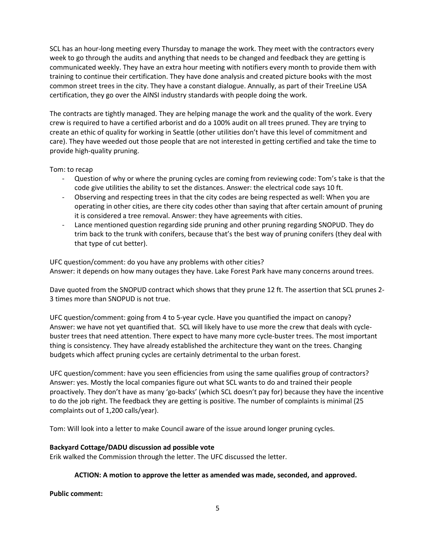SCL has an hour-long meeting every Thursday to manage the work. They meet with the contractors every week to go through the audits and anything that needs to be changed and feedback they are getting is communicated weekly. They have an extra hour meeting with notifiers every month to provide them with training to continue their certification. They have done analysis and created picture books with the most common street trees in the city. They have a constant dialogue. Annually, as part of their TreeLine USA certification, they go over the AINSI industry standards with people doing the work.

The contracts are tightly managed. They are helping manage the work and the quality of the work. Every crew is required to have a certified arborist and do a 100% audit on all trees pruned. They are trying to create an ethic of quality for working in Seattle (other utilities don't have this level of commitment and care). They have weeded out those people that are not interested in getting certified and take the time to provide high-quality pruning.

Tom: to recap

- Question of why or where the pruning cycles are coming from reviewing code: Tom's take is that the code give utilities the ability to set the distances. Answer: the electrical code says 10 ft.
- Observing and respecting trees in that the city codes are being respected as well: When you are operating in other cities, are there city codes other than saying that after certain amount of pruning it is considered a tree removal. Answer: they have agreements with cities.
- Lance mentioned question regarding side pruning and other pruning regarding SNOPUD. They do trim back to the trunk with conifers, because that's the best way of pruning conifers (they deal with that type of cut better).

UFC question/comment: do you have any problems with other cities? Answer: it depends on how many outages they have. Lake Forest Park have many concerns around trees.

Dave quoted from the SNOPUD contract which shows that they prune 12 ft. The assertion that SCL prunes 2- 3 times more than SNOPUD is not true.

UFC question/comment: going from 4 to 5-year cycle. Have you quantified the impact on canopy? Answer: we have not yet quantified that. SCL will likely have to use more the crew that deals with cyclebuster trees that need attention. There expect to have many more cycle-buster trees. The most important thing is consistency. They have already established the architecture they want on the trees. Changing budgets which affect pruning cycles are certainly detrimental to the urban forest.

UFC question/comment: have you seen efficiencies from using the same qualifies group of contractors? Answer: yes. Mostly the local companies figure out what SCL wants to do and trained their people proactively. They don't have as many 'go-backs' (which SCL doesn't pay for) because they have the incentive to do the job right. The feedback they are getting is positive. The number of complaints is minimal (25 complaints out of 1,200 calls/year).

Tom: Will look into a letter to make Council aware of the issue around longer pruning cycles.

## **Backyard Cottage/DADU discussion ad possible vote**

Erik walked the Commission through the letter. The UFC discussed the letter.

# **ACTION: A motion to approve the letter as amended was made, seconded, and approved.**

**Public comment:**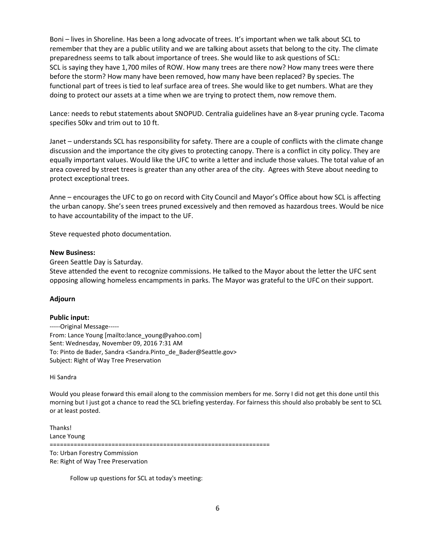Boni – lives in Shoreline. Has been a long advocate of trees. It's important when we talk about SCL to remember that they are a public utility and we are talking about assets that belong to the city. The climate preparedness seems to talk about importance of trees. She would like to ask questions of SCL: SCL is saying they have 1,700 miles of ROW. How many trees are there now? How many trees were there before the storm? How many have been removed, how many have been replaced? By species. The functional part of trees is tied to leaf surface area of trees. She would like to get numbers. What are they doing to protect our assets at a time when we are trying to protect them, now remove them.

Lance: needs to rebut statements about SNOPUD. Centralia guidelines have an 8-year pruning cycle. Tacoma specifies 50kv and trim out to 10 ft.

Janet – understands SCL has responsibility for safety. There are a couple of conflicts with the climate change discussion and the importance the city gives to protecting canopy. There is a conflict in city policy. They are equally important values. Would like the UFC to write a letter and include those values. The total value of an area covered by street trees is greater than any other area of the city. Agrees with Steve about needing to protect exceptional trees.

Anne – encourages the UFC to go on record with City Council and Mayor's Office about how SCL is affecting the urban canopy. She's seen trees pruned excessively and then removed as hazardous trees. Would be nice to have accountability of the impact to the UF.

Steve requested photo documentation.

#### **New Business:**

Green Seattle Day is Saturday.

Steve attended the event to recognize commissions. He talked to the Mayor about the letter the UFC sent opposing allowing homeless encampments in parks. The Mayor was grateful to the UFC on their support.

#### **Adjourn**

#### **Public input:**

-----Original Message----- From: Lance Young [mailto:lance\_young@yahoo.com] Sent: Wednesday, November 09, 2016 7:31 AM To: Pinto de Bader, Sandra <Sandra.Pinto\_de\_Bader@Seattle.gov> Subject: Right of Way Tree Preservation

Hi Sandra

Would you please forward this email along to the commission members for me. Sorry I did not get this done until this morning but I just got a chance to read the SCL briefing yesterday. For fairness this should also probably be sent to SCL or at least posted.

Thanks! Lance Young ================================================================

To: Urban Forestry Commission Re: Right of Way Tree Preservation

Follow up questions for SCL at today's meeting: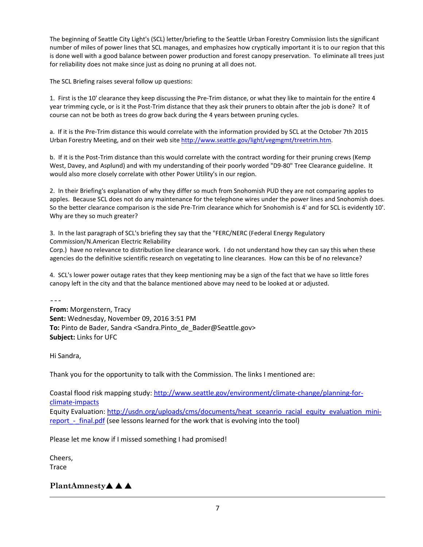The beginning of Seattle City Light's (SCL) letter/briefing to the Seattle Urban Forestry Commission lists the significant number of miles of power lines that SCL manages, and emphasizes how cryptically important it is to our region that this is done well with a good balance between power production and forest canopy preservation. To eliminate all trees just for reliability does not make since just as doing no pruning at all does not.

The SCL Briefing raises several follow up questions:

1. First is the 10' clearance they keep discussing the Pre-Trim distance, or what they like to maintain for the entire 4 year trimming cycle, or is it the Post-Trim distance that they ask their pruners to obtain after the job is done? It of course can not be both as trees do grow back during the 4 years between pruning cycles.

a. If it is the Pre-Trim distance this would correlate with the information provided by SCL at the October 7th 2015 Urban Forestry Meeting, and on their web sit[e http://www.seattle.gov/light/vegmgmt/treetrim.htm.](http://www.seattle.gov/light/vegmgmt/treetrim.htm)

b. If it is the Post-Trim distance than this would correlate with the contract wording for their pruning crews (Kemp West, Davey, and Asplund) and with my understanding of their poorly worded "D9-80" Tree Clearance guideline. It would also more closely correlate with other Power Utility's in our region.

2. In their Briefing's explanation of why they differ so much from Snohomish PUD they are not comparing apples to apples. Because SCL does not do any maintenance for the telephone wires under the power lines and Snohomish does. So the better clearance comparison is the side Pre-Trim clearance which for Snohomish is 4' and for SCL is evidently 10'. Why are they so much greater?

3. In the last paragraph of SCL's briefing they say that the "FERC/NERC (Federal Energy Regulatory Commission/N.American Electric Reliability

Corp.) have no relevance to distribution line clearance work. I do not understand how they can say this when these agencies do the definitive scientific research on vegetating to line clearances. How can this be of no relevance?

4. SCL's lower power outage rates that they keep mentioning may be a sign of the fact that we have so little fores canopy left in the city and that the balance mentioned above may need to be looked at or adjusted.

---

**From:** Morgenstern, Tracy **Sent:** Wednesday, November 09, 2016 3:51 PM **To:** Pinto de Bader, Sandra <Sandra.Pinto\_de\_Bader@Seattle.gov> **Subject:** Links for UFC

Hi Sandra,

Thank you for the opportunity to talk with the Commission. The links I mentioned are:

Coastal flood risk mapping study[: http://www.seattle.gov/environment/climate-change/planning-for](http://www.seattle.gov/environment/climate-change/planning-for-climate-impacts)[climate-impacts](http://www.seattle.gov/environment/climate-change/planning-for-climate-impacts) Equity Evaluation: [http://usdn.org/uploads/cms/documents/heat\\_sceanrio\\_racial\\_equity\\_evaluation\\_mini](http://usdn.org/uploads/cms/documents/heat_sceanrio_racial_equity_evaluation_mini-report_-_final.pdf)report - final.pdf (see lessons learned for the work that is evolving into the tool)

Please let me know if I missed something I had promised!

Cheers, **Trace** 

# PlantAmnesty**▲ ▲**